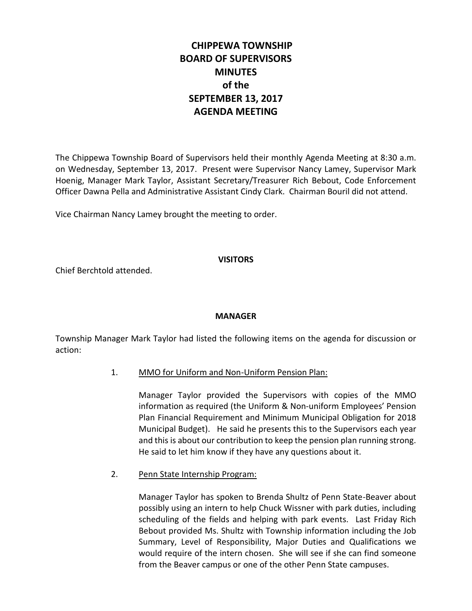# **CHIPPEWA TOWNSHIP BOARD OF SUPERVISORS MINUTES of the SEPTEMBER 13, 2017 AGENDA MEETING**

The Chippewa Township Board of Supervisors held their monthly Agenda Meeting at 8:30 a.m. on Wednesday, September 13, 2017. Present were Supervisor Nancy Lamey, Supervisor Mark Hoenig, Manager Mark Taylor, Assistant Secretary/Treasurer Rich Bebout, Code Enforcement Officer Dawna Pella and Administrative Assistant Cindy Clark. Chairman Bouril did not attend.

Vice Chairman Nancy Lamey brought the meeting to order.

#### **VISITORS**

Chief Berchtold attended.

## **MANAGER**

Township Manager Mark Taylor had listed the following items on the agenda for discussion or action:

1. MMO for Uniform and Non-Uniform Pension Plan:

Manager Taylor provided the Supervisors with copies of the MMO information as required (the Uniform & Non-uniform Employees' Pension Plan Financial Requirement and Minimum Municipal Obligation for 2018 Municipal Budget). He said he presents this to the Supervisors each year and this is about our contribution to keep the pension plan running strong. He said to let him know if they have any questions about it.

2. Penn State Internship Program:

Manager Taylor has spoken to Brenda Shultz of Penn State-Beaver about possibly using an intern to help Chuck Wissner with park duties, including scheduling of the fields and helping with park events. Last Friday Rich Bebout provided Ms. Shultz with Township information including the Job Summary, Level of Responsibility, Major Duties and Qualifications we would require of the intern chosen. She will see if she can find someone from the Beaver campus or one of the other Penn State campuses.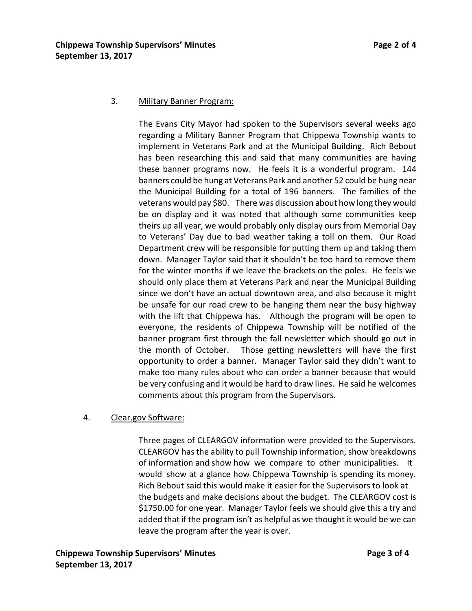#### 3. Military Banner Program:

The Evans City Mayor had spoken to the Supervisors several weeks ago regarding a Military Banner Program that Chippewa Township wants to implement in Veterans Park and at the Municipal Building. Rich Bebout has been researching this and said that many communities are having these banner programs now. He feels it is a wonderful program. 144 banners could be hung at Veterans Park and another 52 could be hung near the Municipal Building for a total of 196 banners. The families of the veterans would pay \$80. There was discussion about how long they would be on display and it was noted that although some communities keep theirs up all year, we would probably only display ours from Memorial Day to Veterans' Day due to bad weather taking a toll on them. Our Road Department crew will be responsible for putting them up and taking them down. Manager Taylor said that it shouldn't be too hard to remove them for the winter months if we leave the brackets on the poles. He feels we should only place them at Veterans Park and near the Municipal Building since we don't have an actual downtown area, and also because it might be unsafe for our road crew to be hanging them near the busy highway with the lift that Chippewa has. Although the program will be open to everyone, the residents of Chippewa Township will be notified of the banner program first through the fall newsletter which should go out in the month of October. Those getting newsletters will have the first opportunity to order a banner. Manager Taylor said they didn't want to make too many rules about who can order a banner because that would be very confusing and it would be hard to draw lines. He said he welcomes comments about this program from the Supervisors.

#### 4. Clear.gov Software:

Three pages of CLEARGOV information were provided to the Supervisors. CLEARGOV has the ability to pull Township information, show breakdowns of information and show how we compare to other municipalities. It would show at a glance how Chippewa Township is spending its money. Rich Bebout said this would make it easier for the Supervisors to look at the budgets and make decisions about the budget. The CLEARGOV cost is \$1750.00 for one year. Manager Taylor feels we should give this a try and added that if the program isn't as helpful as we thought it would be we can leave the program after the year is over.

**Chippewa Township Supervisors' Minutes Page 3 of 4 September 13, 2017**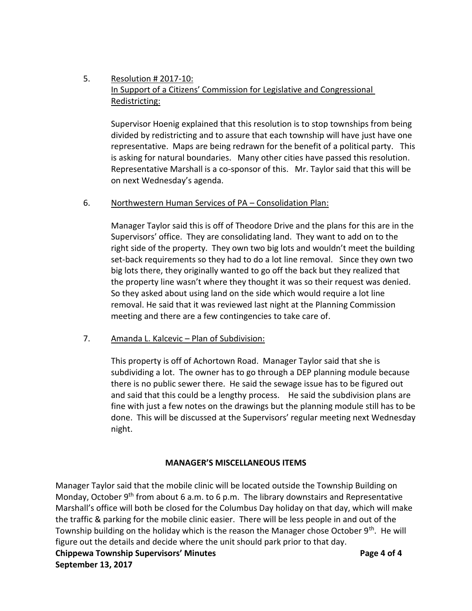## 5. Resolution # 2017-10: In Support of a Citizens' Commission for Legislative and Congressional Redistricting:

Supervisor Hoenig explained that this resolution is to stop townships from being divided by redistricting and to assure that each township will have just have one representative. Maps are being redrawn for the benefit of a political party. This is asking for natural boundaries. Many other cities have passed this resolution. Representative Marshall is a co-sponsor of this. Mr. Taylor said that this will be on next Wednesday's agenda.

## 6. Northwestern Human Services of PA - Consolidation Plan:

Manager Taylor said this is off of Theodore Drive and the plans for this are in the Supervisors' office. They are consolidating land. They want to add on to the right side of the property. They own two big lots and wouldn't meet the building set-back requirements so they had to do a lot line removal. Since they own two big lots there, they originally wanted to go off the back but they realized that the property line wasn't where they thought it was so their request was denied. So they asked about using land on the side which would require a lot line removal. He said that it was reviewed last night at the Planning Commission meeting and there are a few contingencies to take care of.

#### 7. Amanda L. Kalcevic – Plan of Subdivision:

This property is off of Achortown Road. Manager Taylor said that she is subdividing a lot. The owner has to go through a DEP planning module because there is no public sewer there. He said the sewage issue has to be figured out and said that this could be a lengthy process. He said the subdivision plans are fine with just a few notes on the drawings but the planning module still has to be done. This will be discussed at the Supervisors' regular meeting next Wednesday night.

## **MANAGER'S MISCELLANEOUS ITEMS**

Manager Taylor said that the mobile clinic will be located outside the Township Building on Monday, October  $9<sup>th</sup>$  from about 6 a.m. to 6 p.m. The library downstairs and Representative Marshall's office will both be closed for the Columbus Day holiday on that day, which will make the traffic & parking for the mobile clinic easier. There will be less people in and out of the Township building on the holiday which is the reason the Manager chose October 9<sup>th</sup>. He will figure out the details and decide where the unit should park prior to that day.

**Chippewa Township Supervisors' Minutes Page 4 of 4 September 13, 2017**